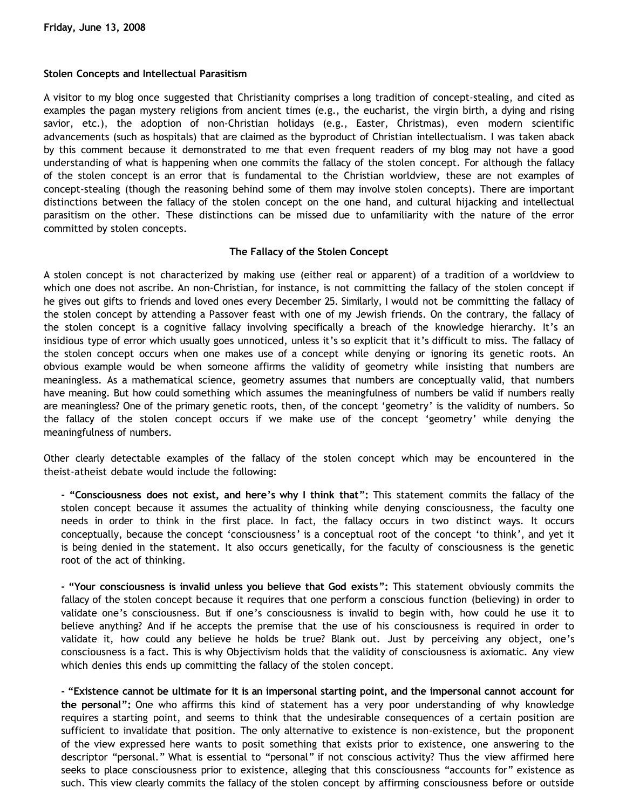## **Stolen Concepts and Intellectual Parasitism**

A visitor to my blog once suggested that Christianity comprises a long tradition of concept-stealing, and cited as examples the pagan mystery religions from ancient times (e.g., the eucharist, the virgin birth, a dying and rising savior, etc.), the adoption of non-Christian holidays (e.g., Easter, Christmas), even modern scientific advancements (such as hospitals) that are claimed as the byproduct of Christian intellectualism. I was taken aback by this comment because it demonstrated to me that even frequent readers of my blog may not have a good understanding of what is happening when one commits the fallacy of the stolen concept. For although the fallacy of the stolen concept is an error that is fundamental to the Christian worldview, these are not examples of concept-stealing (though the reasoning behind some of them may involve stolen concepts). There are important distinctions between the fallacy of the stolen concept on the one hand, and cultural hijacking and intellectual parasitism on the other. These distinctions can be missed due to unfamiliarity with the nature of the error committed by stolen concepts.

## **The Fallacy of the Stolen Concept**

A stolen concept is not characterized by making use (either real or apparent) of a tradition of a worldview to which one does not ascribe. An non-Christian, for instance, is not committing the fallacy of the stolen concept if he gives out gifts to friends and loved ones every December 25. Similarly, I would not be committing the fallacy of the stolen concept by attending a Passover feast with one of my Jewish friends. On the contrary, the fallacy of the stolen concept is a cognitive fallacy involving specifically a breach of the knowledge hierarchy. It's an insidious type of error which usually goes unnoticed, unless it's so explicit that it's difficult to miss. The fallacy of the stolen concept occurs when one makes use of a concept while denying or ignoring its genetic roots. An obvious example would be when someone affirms the validity of geometry while insisting that numbers are meaningless. As a mathematical science, geometry assumes that numbers are conceptually valid, that numbers have meaning. But how could something which assumes the meaningfulness of numbers be valid if numbers really are meaningless? One of the primary genetic roots, then, of the concept 'geometry' is the validity of numbers. So the fallacy of the stolen concept occurs if we make use of the concept 'geometry' while denying the meaningfulness of numbers.

Other clearly detectable examples of the fallacy of the stolen concept which may be encountered in the theist-atheist debate would include the following:

**- "Consciousness does not exist, and here's why I think that":** This statement commits the fallacy of the stolen concept because it assumes the actuality of thinking while denying consciousness, the faculty one needs in order to think in the first place. In fact, the fallacy occurs in two distinct ways. It occurs conceptually, because the concept 'consciousness' is a conceptual root of the concept 'to think', and yet it is being denied in the statement. It also occurs genetically, for the faculty of consciousness is the genetic root of the act of thinking.

**- "Your consciousness is invalid unless you believe that God exists":** This statement obviously commits the fallacy of the stolen concept because it requires that one perform a conscious function (believing) in order to validate one's consciousness. But if one's consciousness is invalid to begin with, how could he use it to believe anything? And if he accepts the premise that the use of his consciousness is required in order to validate it, how could any believe he holds be true? Blank out. Just by perceiving any object, one's consciousness is a fact. This is why Objectivism holds that the validity of consciousness is axiomatic. Any view which denies this ends up committing the fallacy of the stolen concept.

**- "Existence cannot be ultimate for it is an impersonal starting point, and the impersonal cannot account for the personal":** One who affirms this kind of statement has a very poor understanding of why knowledge requires a starting point, and seems to think that the undesirable consequences of a certain position are sufficient to invalidate that position. The only alternative to existence is non-existence, but the proponent of the view expressed here wants to posit something that exists prior to existence, one answering to the descriptor "personal." What is essential to "personal" if not conscious activity? Thus the view affirmed here seeks to place consciousness prior to existence, alleging that this consciousness "accounts for" existence as such. This view clearly commits the fallacy of the stolen concept by affirming consciousness before or outside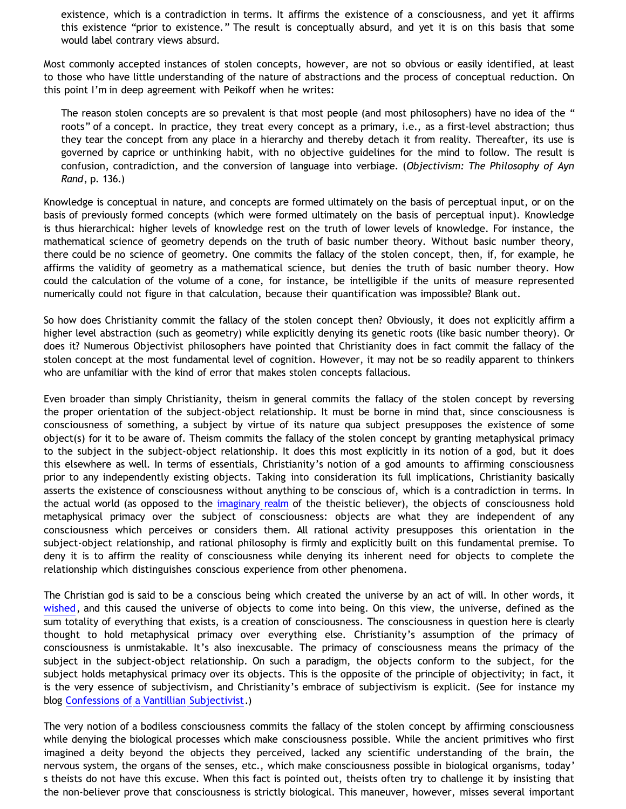existence, which is a contradiction in terms. It affirms the existence of a consciousness, and yet it affirms this existence "prior to existence." The result is conceptually absurd, and yet it is on this basis that some would label contrary views absurd.

Most commonly accepted instances of stolen concepts, however, are not so obvious or easily identified, at least to those who have little understanding of the nature of abstractions and the process of conceptual reduction. On this point I'm in deep agreement with Peikoff when he writes:

The reason stolen concepts are so prevalent is that most people (and most philosophers) have no idea of the " roots" of a concept. In practice, they treat every concept as a primary, i.e., as a first-level abstraction; thus they tear the concept from any place in a hierarchy and thereby detach it from reality. Thereafter, its use is governed by caprice or unthinking habit, with no objective guidelines for the mind to follow. The result is confusion, contradiction, and the conversion of language into verbiage. (*Objectivism: The Philosophy of Ayn Rand*, p. 136.)

Knowledge is conceptual in nature, and concepts are formed ultimately on the basis of perceptual input, or on the basis of previously formed concepts (which were formed ultimately on the basis of perceptual input). Knowledge is thus hierarchical: higher levels of knowledge rest on the truth of lower levels of knowledge. For instance, the mathematical science of geometry depends on the truth of basic number theory. Without basic number theory, there could be no science of geometry. One commits the fallacy of the stolen concept, then, if, for example, he affirms the validity of geometry as a mathematical science, but denies the truth of basic number theory. How could the calculation of the volume of a cone, for instance, be intelligible if the units of measure represented numerically could not figure in that calculation, because their quantification was impossible? Blank out.

So how does Christianity commit the fallacy of the stolen concept then? Obviously, it does not explicitly affirm a higher level abstraction (such as geometry) while explicitly denying its genetic roots (like basic number theory). Or does it? Numerous Objectivist philosophers have pointed that Christianity does in fact commit the fallacy of the stolen concept at the most fundamental level of cognition. However, it may not be so readily apparent to thinkers who are unfamiliar with the kind of error that makes stolen concepts fallacious.

Even broader than simply Christianity, theism in general commits the fallacy of the stolen concept by reversing the proper orientation of the subject-object relationship. It must be borne in mind that, since consciousness is consciousness of something, a subject by virtue of its nature qua subject presupposes the existence of some object(s) for it to be aware of. Theism commits the fallacy of the stolen concept by granting metaphysical primacy to the subject in the subject-object relationship. It does this most explicitly in its notion of a god, but it does this elsewhere as well. In terms of essentials, Christianity's notion of a god amounts to affirming consciousness prior to any independently existing objects. Taking into consideration its full implications, Christianity basically asserts the existence of consciousness without anything to be conscious of, which is a contradiction in terms. In the actual world (as opposed to the [imaginary realm](http://bahnsenburner.blogspot.com/search/label/imagination) of the theistic believer), the objects of consciousness hold metaphysical primacy over the subject of consciousness: objects are what they are independent of any consciousness which perceives or considers them. All rational activity presupposes this orientation in the subject-object relationship, and rational philosophy is firmly and explicitly built on this fundamental premise. To deny it is to affirm the reality of consciousness while denying its inherent need for objects to complete the relationship which distinguishes conscious experience from other phenomena.

The Christian god is said to be a conscious being which created the universe by an act of will. In other words, it [wished,](http://bahnsenburner.blogspot.com/2006/12/wishing-and-christian-deity.html) and this caused the universe of objects to come into being. On this view, the universe, defined as the sum totality of everything that exists, is a creation of consciousness. The consciousness in question here is clearly thought to hold metaphysical primacy over everything else. Christianity's assumption of the primacy of consciousness is unmistakable. It's also inexcusable. The primacy of consciousness means the primacy of the subject in the subject-object relationship. On such a paradigm, the objects conform to the subject, for the subject holds metaphysical primacy over its objects. This is the opposite of the principle of objectivity; in fact, it is the very essence of subjectivism, and Christianity's embrace of subjectivism is explicit. (See for instance my blog [Confessions of a Vantillian Subjectivist.](http://bahnsenburner.blogspot.com/2006/03/confessions-of-vantillian-subjectivist.html))

The very notion of a bodiless consciousness commits the fallacy of the stolen concept by affirming consciousness while denying the biological processes which make consciousness possible. While the ancient primitives who first imagined a deity beyond the objects they perceived, lacked any scientific understanding of the brain, the nervous system, the organs of the senses, etc., which make consciousness possible in biological organisms, today' s theists do not have this excuse. When this fact is pointed out, theists often try to challenge it by insisting that the non-believer prove that consciousness is strictly biological. This maneuver, however, misses several important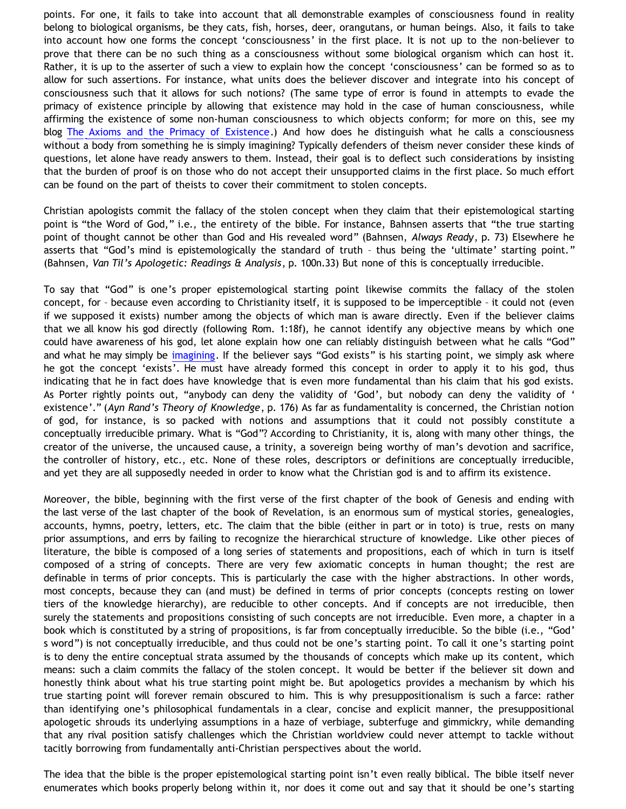points. For one, it fails to take into account that all demonstrable examples of consciousness found in reality belong to biological organisms, be they cats, fish, horses, deer, orangutans, or human beings. Also, it fails to take into account how one forms the concept 'consciousness' in the first place. It is not up to the non-believer to prove that there can be no such thing as a consciousness without some biological organism which can host it. Rather, it is up to the asserter of such a view to explain how the concept 'consciousness' can be formed so as to allow for such assertions. For instance, what units does the believer discover and integrate into his concept of consciousness such that it allows for such notions? (The same type of error is found in attempts to evade the primacy of existence principle by allowing that existence may hold in the case of human consciousness, while affirming the existence of some non-human consciousness to which objects conform; for more on this, see my blog [The Axioms and the Primacy of Existence](http://bahnsenburner.blogspot.com/2006/12/axioms-and-primacy-of-existence.html).) And how does he distinguish what he calls a consciousness without a body from something he is simply imagining? Typically defenders of theism never consider these kinds of questions, let alone have ready answers to them. Instead, their goal is to deflect such considerations by insisting that the burden of proof is on those who do not accept their unsupported claims in the first place. So much effort can be found on the part of theists to cover their commitment to stolen concepts.

Christian apologists commit the fallacy of the stolen concept when they claim that their epistemological starting point is "the Word of God," i.e., the entirety of the bible. For instance, Bahnsen asserts that "the true starting point of thought cannot be other than God and His revealed word" (Bahnsen, *Always Ready*, p. 73) Elsewhere he asserts that "God's mind is epistemologically the standard of truth – thus being the 'ultimate' starting point." (Bahnsen, *Van Til's Apologetic: Readings & Analysis*, p. 100n.33) But none of this is conceptually irreducible.

To say that "God" is one's proper epistemological starting point likewise commits the fallacy of the stolen concept, for – because even according to Christianity itself, it is supposed to be imperceptible – it could not (even if we supposed it exists) number among the objects of which man is aware directly. Even if the believer claims that we all know his god directly (following Rom. 1:18f), he cannot identify any objective means by which one could have awareness of his god, let alone explain how one can reliably distinguish between what he calls "God" and what he may simply be [imagining](http://bahnsenburner.blogspot.com/search/label/imagination). If the believer says "God exists" is his starting point, we simply ask where he got the concept 'exists'. He must have already formed this concept in order to apply it to his god, thus indicating that he in fact does have knowledge that is even more fundamental than his claim that his god exists. As Porter rightly points out, "anybody can deny the validity of 'God', but nobody can deny the validity of ' existence'." (*Ayn Rand's Theory of Knowledge*, p. 176) As far as fundamentality is concerned, the Christian notion of god, for instance, is so packed with notions and assumptions that it could not possibly constitute a conceptually irreducible primary. What is "God"? According to Christianity, it is, along with many other things, the creator of the universe, the uncaused cause, a trinity, a sovereign being worthy of man's devotion and sacrifice, the controller of history, etc., etc. None of these roles, descriptors or definitions are conceptually irreducible, and yet they are all supposedly needed in order to know what the Christian god is and to affirm its existence.

Moreover, the bible, beginning with the first verse of the first chapter of the book of Genesis and ending with the last verse of the last chapter of the book of Revelation, is an enormous sum of mystical stories, genealogies, accounts, hymns, poetry, letters, etc. The claim that the bible (either in part or in toto) is true, rests on many prior assumptions, and errs by failing to recognize the hierarchical structure of knowledge. Like other pieces of literature, the bible is composed of a long series of statements and propositions, each of which in turn is itself composed of a string of concepts. There are very few axiomatic concepts in human thought; the rest are definable in terms of prior concepts. This is particularly the case with the higher abstractions. In other words, most concepts, because they can (and must) be defined in terms of prior concepts (concepts resting on lower tiers of the knowledge hierarchy), are reducible to other concepts. And if concepts are not irreducible, then surely the statements and propositions consisting of such concepts are not irreducible. Even more, a chapter in a book which is constituted by a string of propositions, is far from conceptually irreducible. So the bible (i.e., "God' s word") is not conceptually irreducible, and thus could not be one's starting point. To call it one's starting point is to deny the entire conceptual strata assumed by the thousands of concepts which make up its content, which means: such a claim commits the fallacy of the stolen concept. It would be better if the believer sit down and honestly think about what his true starting point might be. But apologetics provides a mechanism by which his true starting point will forever remain obscured to him. This is why presuppositionalism is such a farce: rather than identifying one's philosophical fundamentals in a clear, concise and explicit manner, the presuppositional apologetic shrouds its underlying assumptions in a haze of verbiage, subterfuge and gimmickry, while demanding that any rival position satisfy challenges which the Christian worldview could never attempt to tackle without tacitly borrowing from fundamentally anti-Christian perspectives about the world.

The idea that the bible is the proper epistemological starting point isn't even really biblical. The bible itself never enumerates which books properly belong within it, nor does it come out and say that it should be one's starting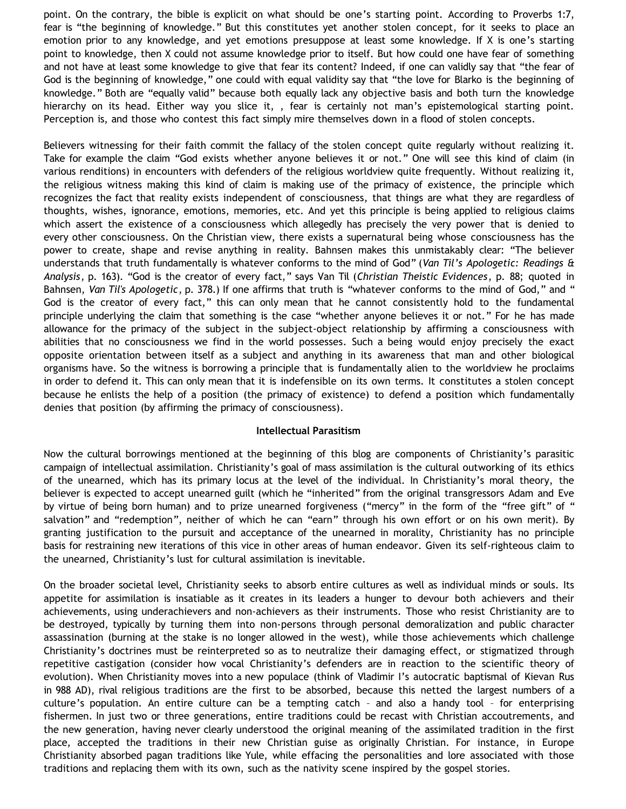point. On the contrary, the bible is explicit on what should be one's starting point. According to Proverbs 1:7, fear is "the beginning of knowledge." But this constitutes yet another stolen concept, for it seeks to place an emotion prior to any knowledge, and yet emotions presuppose at least some knowledge. If X is one's starting point to knowledge, then X could not assume knowledge prior to itself. But how could one have fear of something and not have at least some knowledge to give that fear its content? Indeed, if one can validly say that "the fear of God is the beginning of knowledge," one could with equal validity say that "the love for Blarko is the beginning of knowledge." Both are "equally valid" because both equally lack any objective basis and both turn the knowledge hierarchy on its head. Either way you slice it, , fear is certainly not man's epistemological starting point. Perception is, and those who contest this fact simply mire themselves down in a flood of stolen concepts.

Believers witnessing for their faith commit the fallacy of the stolen concept quite regularly without realizing it. Take for example the claim "God exists whether anyone believes it or not." One will see this kind of claim (in various renditions) in encounters with defenders of the religious worldview quite frequently. Without realizing it, the religious witness making this kind of claim is making use of the primacy of existence, the principle which recognizes the fact that reality exists independent of consciousness, that things are what they are regardless of thoughts, wishes, ignorance, emotions, memories, etc. And yet this principle is being applied to religious claims which assert the existence of a consciousness which allegedly has precisely the very power that is denied to every other consciousness. On the Christian view, there exists a supernatural being whose consciousness has the power to create, shape and revise anything in reality. Bahnsen makes this unmistakably clear: "The believer understands that truth fundamentally is whatever conforms to the mind of God" (*Van Til's Apologetic: Readings & Analysis*, p. 163). "God is the creator of every fact," says Van Til (*Christian Theistic Evidences*, p. 88; quoted in Bahnsen, *Van Til's Apologetic*, p. 378.) If one affirms that truth is "whatever conforms to the mind of God," and " God is the creator of every fact," this can only mean that he cannot consistently hold to the fundamental principle underlying the claim that something is the case "whether anyone believes it or not." For he has made allowance for the primacy of the subject in the subject-object relationship by affirming a consciousness with abilities that no consciousness we find in the world possesses. Such a being would enjoy precisely the exact opposite orientation between itself as a subject and anything in its awareness that man and other biological organisms have. So the witness is borrowing a principle that is fundamentally alien to the worldview he proclaims in order to defend it. This can only mean that it is indefensible on its own terms. It constitutes a stolen concept because he enlists the help of a position (the primacy of existence) to defend a position which fundamentally denies that position (by affirming the primacy of consciousness).

### **Intellectual Parasitism**

Now the cultural borrowings mentioned at the beginning of this blog are components of Christianity's parasitic campaign of intellectual assimilation. Christianity's goal of mass assimilation is the cultural outworking of its ethics of the unearned, which has its primary locus at the level of the individual. In Christianity's moral theory, the believer is expected to accept unearned guilt (which he "inherited" from the original transgressors Adam and Eve by virtue of being born human) and to prize unearned forgiveness ("mercy" in the form of the "free gift" of " salvation" and "redemption", neither of which he can "earn" through his own effort or on his own merit). By granting justification to the pursuit and acceptance of the unearned in morality, Christianity has no principle basis for restraining new iterations of this vice in other areas of human endeavor. Given its self-righteous claim to the unearned, Christianity's lust for cultural assimilation is inevitable.

On the broader societal level, Christianity seeks to absorb entire cultures as well as individual minds or souls. Its appetite for assimilation is insatiable as it creates in its leaders a hunger to devour both achievers and their achievements, using underachievers and non-achievers as their instruments. Those who resist Christianity are to be destroyed, typically by turning them into non-persons through personal demoralization and public character assassination (burning at the stake is no longer allowed in the west), while those achievements which challenge Christianity's doctrines must be reinterpreted so as to neutralize their damaging effect, or stigmatized through repetitive castigation (consider how vocal Christianity's defenders are in reaction to the scientific theory of evolution). When Christianity moves into a new populace (think of Vladimir I's autocratic baptismal of Kievan Rus in 988 AD), rival religious traditions are the first to be absorbed, because this netted the largest numbers of a culture's population. An entire culture can be a tempting catch – and also a handy tool – for enterprising fishermen. In just two or three generations, entire traditions could be recast with Christian accoutrements, and the new generation, having never clearly understood the original meaning of the assimilated tradition in the first place, accepted the traditions in their new Christian guise as originally Christian. For instance, in Europe Christianity absorbed pagan traditions like Yule, while effacing the personalities and lore associated with those traditions and replacing them with its own, such as the nativity scene inspired by the gospel stories.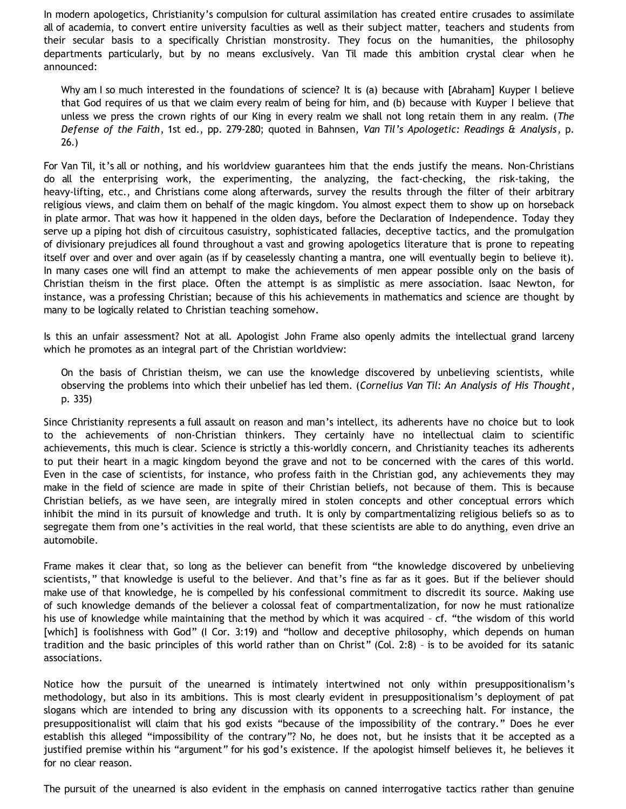In modern apologetics, Christianity's compulsion for cultural assimilation has created entire crusades to assimilate all of academia, to convert entire university faculties as well as their subject matter, teachers and students from their secular basis to a specifically Christian monstrosity. They focus on the humanities, the philosophy departments particularly, but by no means exclusively. Van Til made this ambition crystal clear when he announced:

Why am I so much interested in the foundations of science? It is (a) because with [Abraham] Kuyper I believe that God requires of us that we claim every realm of being for him, and (b) because with Kuyper I believe that unless we press the crown rights of our King in every realm we shall not long retain them in any realm. (*The Defense of the Faith*, 1st ed., pp. 279-280; quoted in Bahnsen, *Van Til's Apologetic: Readings & Analysis*, p. 26.)

For Van Til, it's all or nothing, and his worldview guarantees him that the ends justify the means. Non-Christians do all the enterprising work, the experimenting, the analyzing, the fact-checking, the risk-taking, the heavy-lifting, etc., and Christians come along afterwards, survey the results through the filter of their arbitrary religious views, and claim them on behalf of the magic kingdom. You almost expect them to show up on horseback in plate armor. That was how it happened in the olden days, before the Declaration of Independence. Today they serve up a piping hot dish of circuitous casuistry, sophisticated fallacies, deceptive tactics, and the promulgation of divisionary prejudices all found throughout a vast and growing apologetics literature that is prone to repeating itself over and over and over again (as if by ceaselessly chanting a mantra, one will eventually begin to believe it). In many cases one will find an attempt to make the achievements of men appear possible only on the basis of Christian theism in the first place. Often the attempt is as simplistic as mere association. Isaac Newton, for instance, was a professing Christian; because of this his achievements in mathematics and science are thought by many to be logically related to Christian teaching somehow.

Is this an unfair assessment? Not at all. Apologist John Frame also openly admits the intellectual grand larceny which he promotes as an integral part of the Christian worldview:

On the basis of Christian theism, we can use the knowledge discovered by unbelieving scientists, while observing the problems into which their unbelief has led them. (*Cornelius Van Til: An Analysis of His Thought*, p. 335)

Since Christianity represents a full assault on reason and man's intellect, its adherents have no choice but to look to the achievements of non-Christian thinkers. They certainly have no intellectual claim to scientific achievements, this much is clear. Science is strictly a this-worldly concern, and Christianity teaches its adherents to put their heart in a magic kingdom beyond the grave and not to be concerned with the cares of this world. Even in the case of scientists, for instance, who profess faith in the Christian god, any achievements they may make in the field of science are made in spite of their Christian beliefs, not because of them. This is because Christian beliefs, as we have seen, are integrally mired in stolen concepts and other conceptual errors which inhibit the mind in its pursuit of knowledge and truth. It is only by compartmentalizing religious beliefs so as to segregate them from one's activities in the real world, that these scientists are able to do anything, even drive an automobile.

Frame makes it clear that, so long as the believer can benefit from "the knowledge discovered by unbelieving scientists," that knowledge is useful to the believer. And that's fine as far as it goes. But if the believer should make use of that knowledge, he is compelled by his confessional commitment to discredit its source. Making use of such knowledge demands of the believer a colossal feat of compartmentalization, for now he must rationalize his use of knowledge while maintaining that the method by which it was acquired – cf. "the wisdom of this world [which] is foolishness with God" (I Cor. 3:19) and "hollow and deceptive philosophy, which depends on human tradition and the basic principles of this world rather than on Christ" (Col. 2:8) – is to be avoided for its satanic associations.

Notice how the pursuit of the unearned is intimately intertwined not only within presuppositionalism's methodology, but also in its ambitions. This is most clearly evident in presuppositionalism's deployment of pat slogans which are intended to bring any discussion with its opponents to a screeching halt. For instance, the presuppositionalist will claim that his god exists "because of the impossibility of the contrary." Does he ever establish this alleged "impossibility of the contrary"? No, he does not, but he insists that it be accepted as a justified premise within his "argument" for his god's existence. If the apologist himself believes it, he believes it for no clear reason.

The pursuit of the unearned is also evident in the emphasis on canned interrogative tactics rather than genuine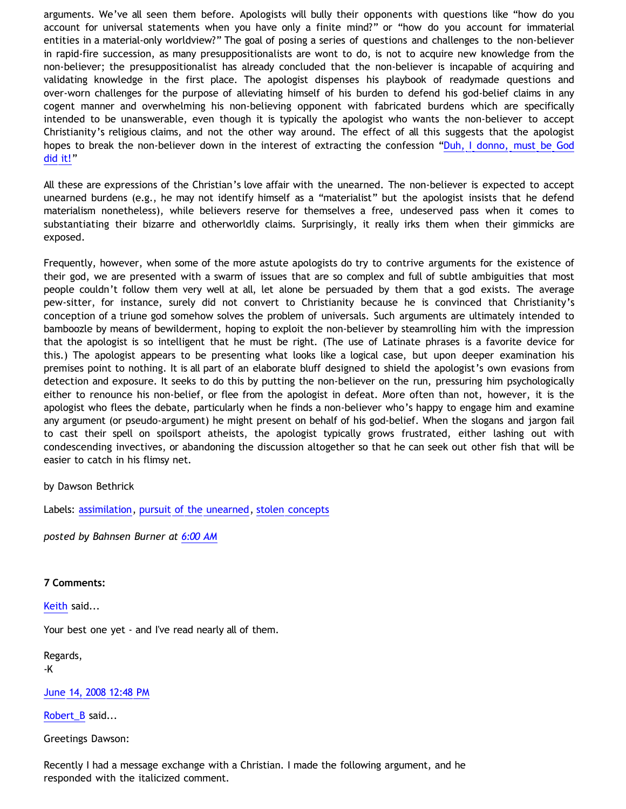arguments. We've all seen them before. Apologists will bully their opponents with questions like "how do you account for universal statements when you have only a finite mind?" or "how do you account for immaterial entities in a material-only worldview?" The goal of posing a series of questions and challenges to the non-believer in rapid-fire succession, as many presuppositionalists are wont to do, is not to acquire new knowledge from the non-believer; the presuppositionalist has already concluded that the non-believer is incapable of acquiring and validating knowledge in the first place. The apologist dispenses his playbook of readymade questions and over-worn challenges for the purpose of alleviating himself of his burden to defend his god-belief claims in any cogent manner and overwhelming his non-believing opponent with fabricated burdens which are specifically intended to be unanswerable, even though it is typically the apologist who wants the non-believer to accept Christianity's religious claims, and not the other way around. The effect of all this suggests that the apologist hopes to break the non-believer down in the interest of extracting the confession ["Duh, I donno, must be God](http://www.geocities.com/katholon/duh15.wav) [did it!"](http://www.geocities.com/katholon/duh15.wav)

All these are expressions of the Christian's love affair with the unearned. The non-believer is expected to accept unearned burdens (e.g., he may not identify himself as a "materialist" but the apologist insists that he defend materialism nonetheless), while believers reserve for themselves a free, undeserved pass when it comes to substantiating their bizarre and otherworldly claims. Surprisingly, it really irks them when their gimmicks are exposed.

Frequently, however, when some of the more astute apologists do try to contrive arguments for the existence of their god, we are presented with a swarm of issues that are so complex and full of subtle ambiguities that most people couldn't follow them very well at all, let alone be persuaded by them that a god exists. The average pew-sitter, for instance, surely did not convert to Christianity because he is convinced that Christianity's conception of a triune god somehow solves the problem of universals. Such arguments are ultimately intended to bamboozle by means of bewilderment, hoping to exploit the non-believer by steamrolling him with the impression that the apologist is so intelligent that he must be right. (The use of Latinate phrases is a favorite device for this.) The apologist appears to be presenting what looks like a logical case, but upon deeper examination his premises point to nothing. It is all part of an elaborate bluff designed to shield the apologist's own evasions from detection and exposure. It seeks to do this by putting the non-believer on the run, pressuring him psychologically either to renounce his non-belief, or flee from the apologist in defeat. More often than not, however, it is the apologist who flees the debate, particularly when he finds a non-believer who's happy to engage him and examine any argument (or pseudo-argument) he might present on behalf of his god-belief. When the slogans and jargon fail to cast their spell on spoilsport atheists, the apologist typically grows frustrated, either lashing out with condescending invectives, or abandoning the discussion altogether so that he can seek out other fish that will be easier to catch in his flimsy net.

# by Dawson Bethrick

Labels: [assimilation,](http://bahnsenburner.blogspot.com/search/label/assimilation) [pursuit of the unearned,](http://bahnsenburner.blogspot.com/search/label/pursuit%20of%20the%20unearned) [stolen concepts](http://bahnsenburner.blogspot.com/search/label/stolen%20concepts)

*posted by Bahnsen Burner at [6:00 AM](http://bahnsenburner.blogspot.com/2008/06/stolen-concepts-and-intellectual.html)*

### **7 Comments:**

[Keith](http://www.blogger.com/profile/14844529811179063030) said...

Your best one yet - and I've read nearly all of them.

Regards, -K

[June 14, 2008 12:48 PM](http://bahnsenburner.blogspot.com/2008/06/6665146770371367814)

[Robert\\_B](http://www.blogger.com/profile/03469718358131331499) said...

Greetings Dawson:

Recently I had a message exchange with a Christian. I made the following argument, and he responded with the italicized comment.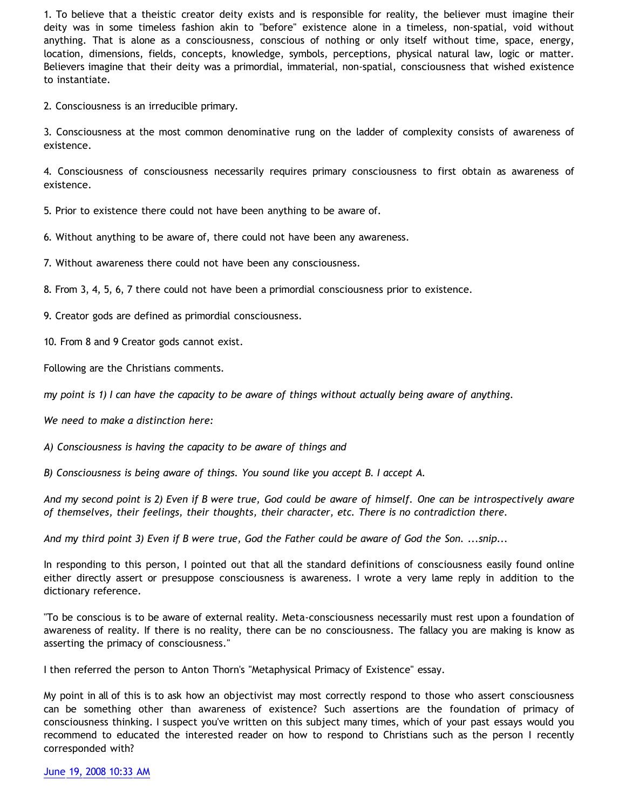1. To believe that a theistic creator deity exists and is responsible for reality, the believer must imagine their deity was in some timeless fashion akin to "before" existence alone in a timeless, non-spatial, void without anything. That is alone as a consciousness, conscious of nothing or only itself without time, space, energy, location, dimensions, fields, concepts, knowledge, symbols, perceptions, physical natural law, logic or matter. Believers imagine that their deity was a primordial, immaterial, non-spatial, consciousness that wished existence to instantiate.

2. Consciousness is an irreducible primary.

3. Consciousness at the most common denominative rung on the ladder of complexity consists of awareness of existence.

4. Consciousness of consciousness necessarily requires primary consciousness to first obtain as awareness of existence.

5. Prior to existence there could not have been anything to be aware of.

6. Without anything to be aware of, there could not have been any awareness.

7. Without awareness there could not have been any consciousness.

8. From 3, 4, 5, 6, 7 there could not have been a primordial consciousness prior to existence.

9. Creator gods are defined as primordial consciousness.

10. From 8 and 9 Creator gods cannot exist.

Following are the Christians comments.

*my point is 1) I can have the capacity to be aware of things without actually being aware of anything.*

*We need to make a distinction here:*

*A) Consciousness is having the capacity to be aware of things and*

*B) Consciousness is being aware of things. You sound like you accept B. I accept A.*

*And my second point is 2) Even if B were true, God could be aware of himself. One can be introspectively aware of themselves, their feelings, their thoughts, their character, etc. There is no contradiction there.*

*And my third point 3) Even if B were true, God the Father could be aware of God the Son. ...snip...*

In responding to this person, I pointed out that all the standard definitions of consciousness easily found online either directly assert or presuppose consciousness is awareness. I wrote a very lame reply in addition to the dictionary reference.

"To be conscious is to be aware of external reality. Meta-consciousness necessarily must rest upon a foundation of awareness of reality. If there is no reality, there can be no consciousness. The fallacy you are making is know as asserting the primacy of consciousness."

I then referred the person to Anton Thorn's "Metaphysical Primacy of Existence" essay.

My point in all of this is to ask how an objectivist may most correctly respond to those who assert consciousness can be something other than awareness of existence? Such assertions are the foundation of primacy of consciousness thinking. I suspect you've written on this subject many times, which of your past essays would you recommend to educated the interested reader on how to respond to Christians such as the person I recently corresponded with?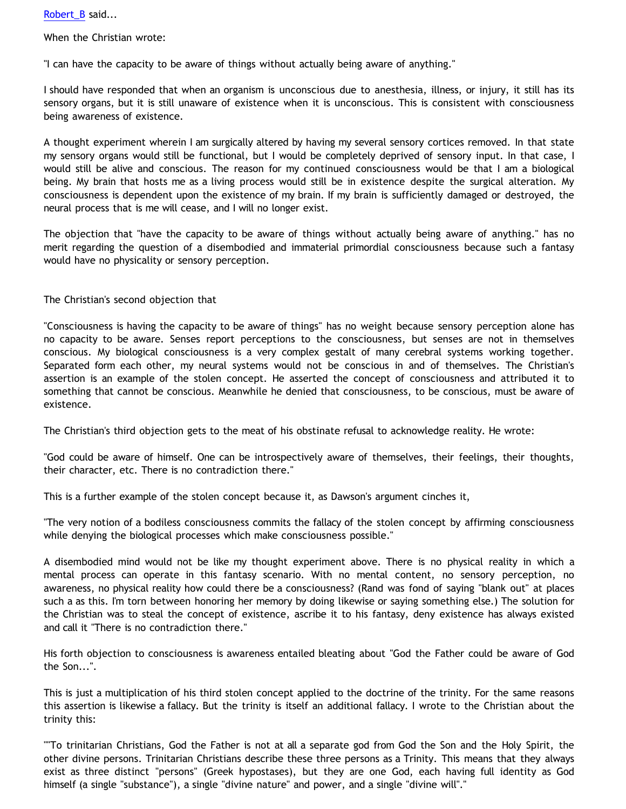[Robert\\_B](http://www.blogger.com/profile/03469718358131331499) said...

When the Christian wrote:

"I can have the capacity to be aware of things without actually being aware of anything."

I should have responded that when an organism is unconscious due to anesthesia, illness, or injury, it still has its sensory organs, but it is still unaware of existence when it is unconscious. This is consistent with consciousness being awareness of existence.

A thought experiment wherein I am surgically altered by having my several sensory cortices removed. In that state my sensory organs would still be functional, but I would be completely deprived of sensory input. In that case, I would still be alive and conscious. The reason for my continued consciousness would be that I am a biological being. My brain that hosts me as a living process would still be in existence despite the surgical alteration. My consciousness is dependent upon the existence of my brain. If my brain is sufficiently damaged or destroyed, the neural process that is me will cease, and I will no longer exist.

The objection that "have the capacity to be aware of things without actually being aware of anything." has no merit regarding the question of a disembodied and immaterial primordial consciousness because such a fantasy would have no physicality or sensory perception.

The Christian's second objection that

"Consciousness is having the capacity to be aware of things" has no weight because sensory perception alone has no capacity to be aware. Senses report perceptions to the consciousness, but senses are not in themselves conscious. My biological consciousness is a very complex gestalt of many cerebral systems working together. Separated form each other, my neural systems would not be conscious in and of themselves. The Christian's assertion is an example of the stolen concept. He asserted the concept of consciousness and attributed it to something that cannot be conscious. Meanwhile he denied that consciousness, to be conscious, must be aware of existence.

The Christian's third objection gets to the meat of his obstinate refusal to acknowledge reality. He wrote:

"God could be aware of himself. One can be introspectively aware of themselves, their feelings, their thoughts, their character, etc. There is no contradiction there."

This is a further example of the stolen concept because it, as Dawson's argument cinches it,

"The very notion of a bodiless consciousness commits the fallacy of the stolen concept by affirming consciousness while denying the biological processes which make consciousness possible."

A disembodied mind would not be like my thought experiment above. There is no physical reality in which a mental process can operate in this fantasy scenario. With no mental content, no sensory perception, no awareness, no physical reality how could there be a consciousness? (Rand was fond of saying "blank out" at places such a as this. I'm torn between honoring her memory by doing likewise or saying something else.) The solution for the Christian was to steal the concept of existence, ascribe it to his fantasy, deny existence has always existed and call it "There is no contradiction there."

His forth objection to consciousness is awareness entailed bleating about "God the Father could be aware of God the Son...".

This is just a multiplication of his third stolen concept applied to the doctrine of the trinity. For the same reasons this assertion is likewise a fallacy. But the trinity is itself an additional fallacy. I wrote to the Christian about the trinity this:

""To trinitarian Christians, God the Father is not at all a separate god from God the Son and the Holy Spirit, the other divine persons. Trinitarian Christians describe these three persons as a Trinity. This means that they always exist as three distinct "persons" (Greek hypostases), but they are one God, each having full identity as God himself (a single "substance"), a single "divine nature" and power, and a single "divine will"."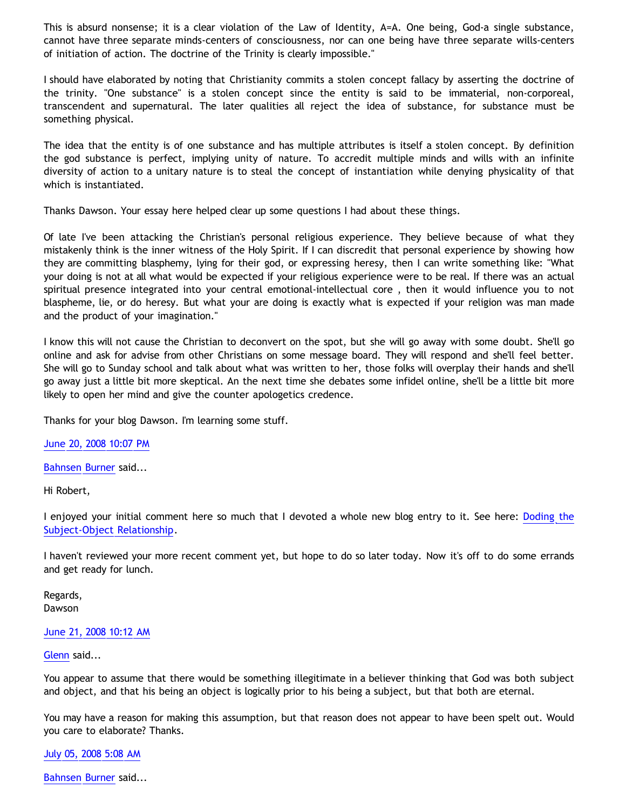This is absurd nonsense; it is a clear violation of the Law of Identity, A=A. One being, God-a single substance, cannot have three separate minds-centers of consciousness, nor can one being have three separate wills-centers of initiation of action. The doctrine of the Trinity is clearly impossible."

I should have elaborated by noting that Christianity commits a stolen concept fallacy by asserting the doctrine of the trinity. "One substance" is a stolen concept since the entity is said to be immaterial, non-corporeal, transcendent and supernatural. The later qualities all reject the idea of substance, for substance must be something physical.

The idea that the entity is of one substance and has multiple attributes is itself a stolen concept. By definition the god substance is perfect, implying unity of nature. To accredit multiple minds and wills with an infinite diversity of action to a unitary nature is to steal the concept of instantiation while denying physicality of that which is instantiated.

Thanks Dawson. Your essay here helped clear up some questions I had about these things.

Of late I've been attacking the Christian's personal religious experience. They believe because of what they mistakenly think is the inner witness of the Holy Spirit. If I can discredit that personal experience by showing how they are committing blasphemy, lying for their god, or expressing heresy, then I can write something like: "What your doing is not at all what would be expected if your religious experience were to be real. If there was an actual spiritual presence integrated into your central emotional-intellectual core , then it would influence you to not blaspheme, lie, or do heresy. But what your are doing is exactly what is expected if your religion was man made and the product of your imagination."

I know this will not cause the Christian to deconvert on the spot, but she will go away with some doubt. She'll go online and ask for advise from other Christians on some message board. They will respond and she'll feel better. She will go to Sunday school and talk about what was written to her, those folks will overplay their hands and she'll go away just a little bit more skeptical. An the next time she debates some infidel online, she'll be a little bit more likely to open her mind and give the counter apologetics credence.

Thanks for your blog Dawson. I'm learning some stuff.

[June 20, 2008 10:07 PM](http://bahnsenburner.blogspot.com/2008/06/4613292240567159069)

[Bahnsen Burner](http://www.blogger.com/profile/11030029491768748360) said...

Hi Robert,

I enjoyed your initial comment here so much that I devoted a whole new blog entry to it. See here: [Doding the](http://bahnsenburner.blogspot.com/2008/06/dodging-subject-object-relationship.html) [Subject-Object Relationship](http://bahnsenburner.blogspot.com/2008/06/dodging-subject-object-relationship.html).

I haven't reviewed your more recent comment yet, but hope to do so later today. Now it's off to do some errands and get ready for lunch.

Regards, Dawson

### [June 21, 2008 10:12 AM](http://bahnsenburner.blogspot.com/2008/06/3077623326967106737)

### [Glenn](http://www.blogger.com/profile/15365045662764795503) said...

You appear to assume that there would be something illegitimate in a believer thinking that God was both subject and object, and that his being an object is logically prior to his being a subject, but that both are eternal.

You may have a reason for making this assumption, but that reason does not appear to have been spelt out. Would you care to elaborate? Thanks.

[July 05, 2008 5:08 AM](http://bahnsenburner.blogspot.com/2008/06/6675462283387976271)

[Bahnsen Burner](http://www.blogger.com/profile/11030029491768748360) said...